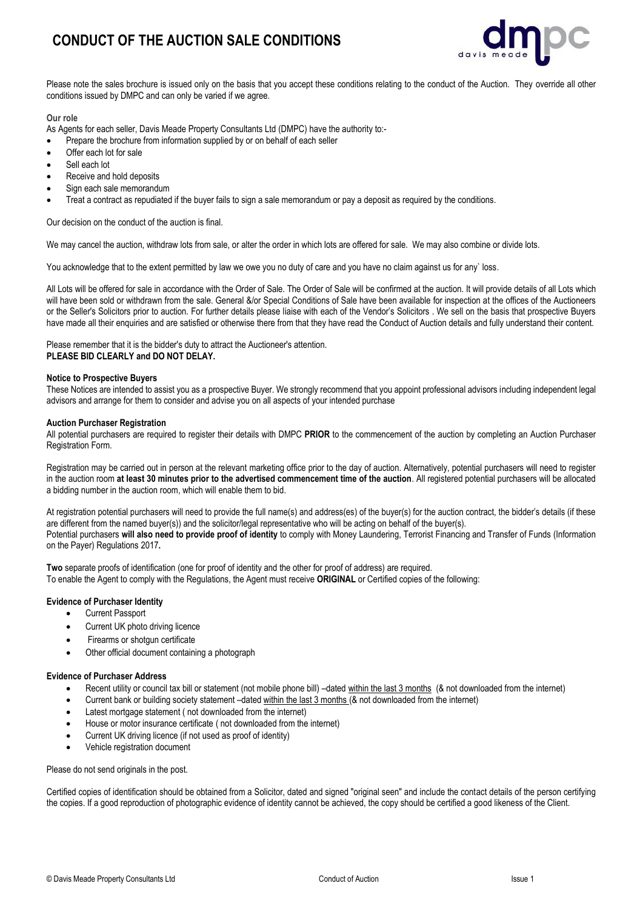# **CONDUCT OF THE AUCTION SALE CONDITIONS**



Please note the sales brochure is issued only on the basis that you accept these conditions relating to the conduct of the Auction. They override all other conditions issued by DMPC and can only be varied if we agree.

### **Our role**

As Agents for each seller, Davis Meade Property Consultants Ltd (DMPC) have the authority to:-

- Prepare the brochure from information supplied by or on behalf of each seller
- Offer each lot for sale
- Sell each lot
- Receive and hold deposits
- Sign each sale memorandum
- Treat a contract as repudiated if the buyer fails to sign a sale memorandum or pay a deposit as required by the conditions.

Our decision on the conduct of the auction is final.

We may cancel the auction, withdraw lots from sale, or alter the order in which lots are offered for sale. We may also combine or divide lots.

You acknowledge that to the extent permitted by law we owe you no duty of care and you have no claim against us for any` loss.

All Lots will be offered for sale in accordance with the Order of Sale. The Order of Sale will be confirmed at the auction. It will provide details of all Lots which will have been sold or withdrawn from the sale. General &/or Special Conditions of Sale have been available for inspection at the offices of the Auctioneers or the Seller's Solicitors prior to auction. For further details please liaise with each of the Vendor's Solicitors . We sell on the basis that prospective Buyers have made all their enquiries and are satisfied or otherwise there from that they have read the Conduct of Auction details and fully understand their content.

Please remember that it is the bidder's duty to attract the Auctioneer's attention. **PLEASE BID CLEARLY and DO NOT DELAY.**

### **Notice to Prospective Buyers**

These Notices are intended to assist you as a prospective Buyer. We strongly recommend that you appoint professional advisors including independent legal advisors and arrange for them to consider and advise you on all aspects of your intended purchase

### **Auction Purchaser Registration**

All potential purchasers are required to register their details with DMPC **PRIOR** to the commencement of the auction by completing an Auction Purchaser Registration Form.

Registration may be carried out in person at the relevant marketing office prior to the day of auction. Alternatively, potential purchasers will need to register in the auction room **at least 30 minutes prior to the advertised commencement time of the auction**. All registered potential purchasers will be allocated a bidding number in the auction room, which will enable them to bid.

At registration potential purchasers will need to provide the full name(s) and address(es) of the buyer(s) for the auction contract, the bidder's details (if these are different from the named buyer(s)) and the solicitor/legal representative who will be acting on behalf of the buyer(s). Potential purchasers **will also need to provide proof of identity** to comply with Money Laundering, Terrorist Financing and Transfer of Funds (Information on the Payer) Regulations 2017**.**

**Two** separate proofs of identification (one for proof of identity and the other for proof of address) are required.

To enable the Agent to comply with the Regulations, the Agent must receive **ORIGINAL** or Certified copies of the following:

# **Evidence of Purchaser Identity**

- Current Passport
- Current UK photo driving licence
- Firearms or shotgun certificate
- Other official document containing a photograph

#### **Evidence of Purchaser Address**

- Recent utility or council tax bill or statement (not mobile phone bill) –dated within the last 3 months (& not downloaded from the internet)
- Current bank or building society statement –dated within the last 3 months (& not downloaded from the internet)
- Latest mortgage statement (not downloaded from the internet)
- House or motor insurance certificate ( not downloaded from the internet)
- Current UK driving licence (if not used as proof of identity)
- Vehicle registration document

Please do not send originals in the post.

Certified copies of identification should be obtained from a Solicitor, dated and signed "original seen" and include the contact details of the person certifying the copies. If a good reproduction of photographic evidence of identity cannot be achieved, the copy should be certified a good likeness of the Client.